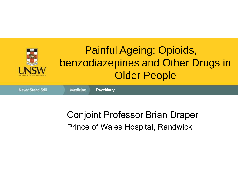

#### Conjoint Professor Brian Draper Prince of Wales Hospital, Randwick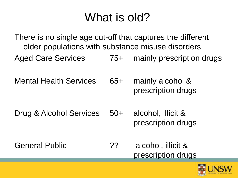## What is old?

There is no single age cut-off that captures the different older populations with substance misuse disorders Aged Care Services 75+ mainly prescription drugs

Mental Health Services 65+ mainly alcohol & prescription drugs

Drug & Alcohol Services 50+ alcohol, illicit & prescription drugs

General Public **22 Constants** 2? alcohol, illicit & prescription drugs

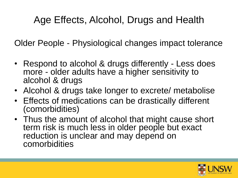### Age Effects, Alcohol, Drugs and Health

Older People - Physiological changes impact tolerance

- Respond to alcohol & drugs differently Less does more - older adults have a higher sensitivity to alcohol & drugs
- Alcohol & drugs take longer to excrete/ metabolise
- Effects of medications can be drastically different (comorbidities)
- Thus the amount of alcohol that might cause short term risk is much less in older people but exact reduction is unclear and may depend on comorbidities

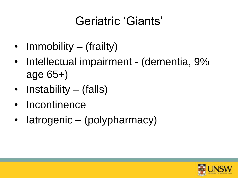## Geriatric 'Giants'

- Immobility (frailty)
- Intellectual impairment (dementia, 9% age 65+)
- Instability (falls)
- **Incontinence**
- Iatrogenic (polypharmacy)

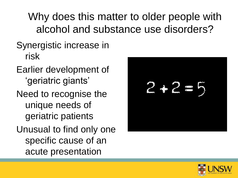Why does this matter to older people with alcohol and substance use disorders?

- Synergistic increase in risk
- Earlier development of 'geriatric giants'
- Need to recognise the unique needs of geriatric patients
- Unusual to find only one specific cause of an acute presentation



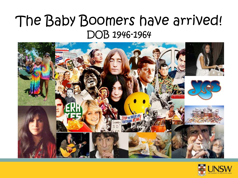## The Baby Boomers have arrived! DOB 1946-1964



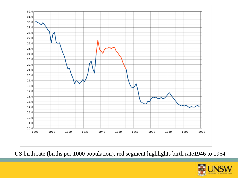

US birth rate (births per 1000 population), red segment highlights birth rate1946 to 1964

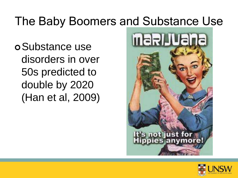## The Baby Boomers and Substance Use

Substance use disorders in over 50s predicted to double by 2020 (Han et al, 2009)



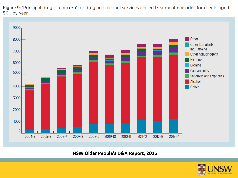Figure 9: 'Principal drug of concern' for drug and alcohol services closed treatment episodes for clients aged 50+ by year



**NSW Older People's D&A Report, 2015**

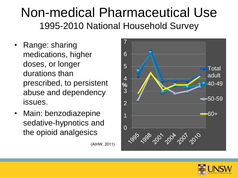## Non-medical Pharmaceutical Use 1995-2010 National Household Survey

- Range: sharing medications, higher doses, or longer durations than prescribed, to persistent abuse and dependency issues.
- Main: benzodiazepine sedative-hypnotics and the opioid analgesics

(AIHW, 2011)



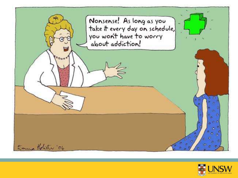

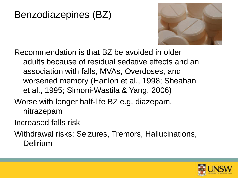### Benzodiazepines (BZ)



Recommendation is that BZ be avoided in older adults because of residual sedative effects and an association with falls, MVAs, Overdoses, and worsened memory (Hanlon et al., 1998; Sheahan et al., 1995; Simoni-Wastila & Yang, 2006)

- Worse with longer half-life BZ e.g. diazepam, nitrazepam
- Increased falls risk
- Withdrawal risks: Seizures, Tremors, Hallucinations, Delirium

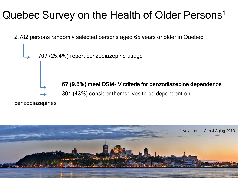### Quebec Survey on the Health of Older Persons<sup>1</sup>

2,782 persons randomly selected persons aged 65 years or older in Quebec

707 (25.4%) report benzodiazepine usage

67 (9.5%) meet DSM-IV criteria for benzodiazepine dependence 304 (43%) consider themselves to be dependent on

benzodiazepines

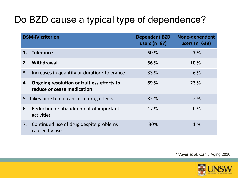### Do BZD cause a typical type of dependence?

| <b>DSM-IV criterion</b> |                                                                          | <b>Dependent BZD</b><br>users $(n=67)$ | <b>None-dependent</b><br>users (n=639) |  |
|-------------------------|--------------------------------------------------------------------------|----------------------------------------|----------------------------------------|--|
|                         | <b>Tolerance</b>                                                         | 50 %                                   | 7%                                     |  |
| 2.                      | Withdrawal                                                               | 56 %                                   | 10 %                                   |  |
| 3.                      | Increases in quantity or duration/ tolerance                             | <b>33 %</b>                            | 6 %                                    |  |
| 4.                      | Ongoing resolution or fruitless efforts to<br>reduce or cease medication | 89 %                                   | 23 %                                   |  |
|                         | 5. Takes time to recover from drug effects                               | 35 %                                   | 2%                                     |  |
| 6.                      | Reduction or abandonment of important<br>activities                      | 17%                                    | $0\%$                                  |  |
| 7.                      | Continued use of drug despite problems<br>caused by use                  | 30%                                    | 1 %                                    |  |

<sup>1</sup> Voyer et al, Can J Aging 2010

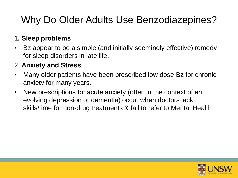### Why Do Older Adults Use Benzodiazepines?

#### 1**. Sleep problems**

• Bz appear to be a simple (and initially seemingly effective) remedy for sleep disorders in late life.

#### 2. **Anxiety and Stress**

- Many older patients have been prescribed low dose Bz for chronic anxiety for many years.
- New prescriptions for acute anxiety (often in the context of an evolving depression or dementia) occur when doctors lack skills/time for non-drug treatments & fail to refer to Mental Health

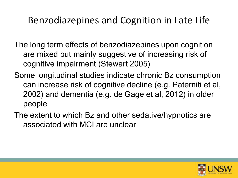#### Benzodiazepines and Cognition in Late Life

- The long term effects of benzodiazepines upon cognition are mixed but mainly suggestive of increasing risk of cognitive impairment (Stewart 2005)
- Some longitudinal studies indicate chronic Bz consumption can increase risk of cognitive decline (e.g. Paterniti et al, 2002) and dementia (e.g. de Gage et al, 2012) in older people
- The extent to which Bz and other sedative/hypnotics are associated with MCI are unclear

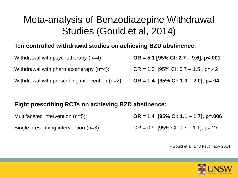#### Meta-analysis of Benzodiazepine Withdrawal Studies (Gould et al, 2014)

#### **Ten controlled withdrawal studies on achieving BZD abstinence**:

| Withdrawal with psychotherapy $(n=4)$ :            | $OR = 5.1$ [95% CI: 2.7 – 9.6], p<.001 |
|----------------------------------------------------|----------------------------------------|
| Withdrawal with pharmacotherapy $(n=4)$ :          | OR = 1.3 [95% CI: 0.7 – 1.5], p=.42    |
| Withdrawal with prescribing intervention $(n=2)$ : | OR = 1.4 [95% CI: 1.0 – 2.0], p=.04    |

#### **Eight prescribing RCTs on achieving BZD abstinence:**

Multifaceted intervention (n=5): **OR = 1.4 [95% CI: 1.1 – 1.7], p=.006** Single prescribing intervention  $(n=3)$ :  $OR = 0.9$  [95% CI: 0.7 – 1.1], p=.27

<sup>1</sup>Gould et al, Br J Psychiatry 2014

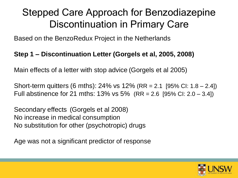### Stepped Care Approach for Benzodiazepine Discontinuation in Primary Care

Based on the BenzoRedux Project in the Netherlands

#### **Step 1 – Discontinuation Letter (Gorgels et al, 2005, 2008)**

Main effects of a letter with stop advice (Gorgels et al 2005)

Short-term quitters (6 mths): 24% vs 12% (RR = 2.1 [95% CI: 1.8 – 2.4]) Full abstinence for 21 mths:  $13\%$  vs  $5\%$  (RR = 2.6 [95% CI: 2.0 – 3.4])

Secondary effects (Gorgels et al 2008) No increase in medical consumption No substitution for other (psychotropic) drugs

Age was not a significant predictor of response

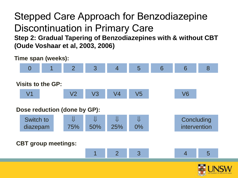#### Stepped Care Approach for Benzodiazepine Discontinuation in Primary Care **Step 2: Gradual Tapering of Benzodiazepines with & without CBT (Oude Voshaar et al, 2003, 2006)**

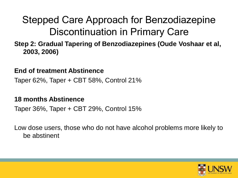### Stepped Care Approach for Benzodiazepine Discontinuation in Primary Care

#### **Step 2: Gradual Tapering of Benzodiazepines (Oude Voshaar et al, 2003, 2006)**

#### **End of treatment Abstinence**

Taper 62%, Taper + CBT 58%, Control 21%

#### **18 months Abstinence**

Taper 36%, Taper + CBT 29%, Control 15%

Low dose users, those who do not have alcohol problems more likely to be abstinent

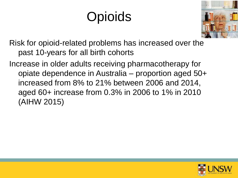# **Opioids**



Risk for opioid-related problems has increased over the past 10-years for all birth cohorts

Increase in older adults receiving pharmacotherapy for opiate dependence in Australia – proportion aged 50+ increased from 8% to 21% between 2006 and 2014, aged 60+ increase from 0.3% in 2006 to 1% in 2010 (AIHW 2015)

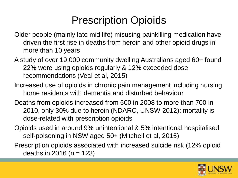## Prescription Opioids

- Older people (mainly late mid life) misusing painkilling medication have driven the first rise in deaths from heroin and other opioid drugs in more than 10 years
- A study of over 19,000 community dwelling Australians aged 60+ found 22% were using opioids regularly & 12% exceeded dose recommendations (Veal et al, 2015)
- Increased use of opioids in chronic pain management including nursing home residents with dementia and disturbed behaviour
- Deaths from opioids increased from 500 in 2008 to more than 700 in 2010, only 30% due to heroin (NDARC, UNSW 2012); mortality is dose-related with prescription opioids
- Opioids used in around 9% unintentional & 5% intentional hospitalised self-poisoning in NSW aged 50+ (Mitchell et al, 2015)
- Prescription opioids associated with increased suicide risk (12% opioid deaths in 2016 ( $n = 123$ )

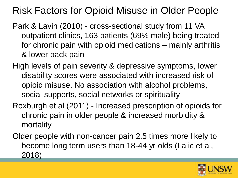### Risk Factors for Opioid Misuse in Older People

- Park & Lavin (2010) cross-sectional study from 11 VA outpatient clinics, 163 patients (69% male) being treated for chronic pain with opioid medications – mainly arthritis & lower back pain
- High levels of pain severity & depressive symptoms, lower disability scores were associated with increased risk of opioid misuse. No association with alcohol problems, social supports, social networks or spirituality
- Roxburgh et al (2011) Increased prescription of opioids for chronic pain in older people & increased morbidity & mortality
- Older people with non-cancer pain 2.5 times more likely to become long term users than 18-44 yr olds (Lalic et al, 2018)

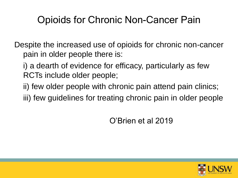### Opioids for Chronic Non-Cancer Pain

Despite the increased use of opioids for chronic non-cancer pain in older people there is:

i) a dearth of evidence for efficacy, particularly as few RCTs include older people;

ii) few older people with chronic pain attend pain clinics;

iii) few guidelines for treating chronic pain in older people

O'Brien et al 2019

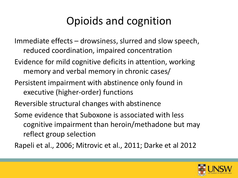## Opioids and cognition

- Immediate effects drowsiness, slurred and slow speech, reduced coordination, impaired concentration
- Evidence for mild cognitive deficits in attention, working memory and verbal memory in chronic cases/
- Persistent impairment with abstinence only found in executive (higher-order) functions
- Reversible structural changes with abstinence
- Some evidence that Suboxone is associated with less cognitive impairment than heroin/methadone but may reflect group selection

Rapeli et al., 2006; Mitrovic et al., 2011; Darke et al 2012

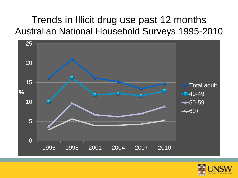### Trends in Illicit drug use past 12 months Australian National Household Surveys 1995-2010



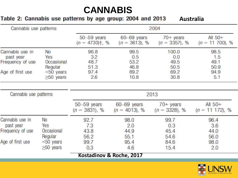#### **CANNABIS**

#### Table 2: Cannabis use patterns by age group: 2004 and 2013

**Australia**

| Cannabis use patterns |                         |                                                  | 2004                           |                                       |                                 |  |
|-----------------------|-------------------------|--------------------------------------------------|--------------------------------|---------------------------------------|---------------------------------|--|
|                       |                         | $50 - 59$ years<br>$(n = 4730)$ <sup>†</sup> , % | 60-69 years<br>$(n = 3613), %$ | $70 + \gamma$ ears<br>$(n = 3357), %$ | All $50+$<br>$(n = 11, 700), %$ |  |
| Cannabis use in       | No                      | 96.8                                             | 99.5                           | 100.0                                 | 98.5                            |  |
| past year             | Yes                     | 3.2                                              | 0.5                            | 0.0                                   | 1.5                             |  |
| Frequency of use      | Occasional              | 48.7                                             | 53.2                           | 49.5                                  | 49.1                            |  |
| Age of first use      | Regular<br>$<$ 50 years | 51.3<br>97.4                                     | 46.8<br>89.2                   | 50.5<br>69.2                          | 50.9<br>94.9                    |  |
|                       | $\geq 50$ years         | 2.6                                              | 10.8                           | 30.8                                  | 5.1                             |  |
| Cannabis use patterns |                         |                                                  |                                | 2013                                  |                                 |  |
|                       |                         | $50 - 59$ years<br>$(n = 3831), %$               | 60-69 years<br>$(n = 4013), %$ | $70+$ years<br>$(n = 3328), %$        | All $50+$<br>$(n = 11 172)$ , % |  |
| Cannabis use in       | No                      | 92.7                                             | 98.0                           | 99.7                                  | 96.4                            |  |
| past year             | Yes                     | 7.3                                              | 2.0                            | 0.3                                   | 3.6                             |  |
| Frequency of use      | Occasional              | 43.8                                             | 44.9                           | 45.4                                  | 44.0                            |  |
|                       | Regular                 | 56.2                                             | 55.1                           | 54.6                                  | 56.0                            |  |
| Age of first use      | $<$ 50 years            | 99.7                                             | 95.4                           | 84.6                                  | 98.0                            |  |
|                       | $\geq 50$ years         | 0.3                                              | 4.6                            | 15.4                                  | 2.0                             |  |
|                       |                         | Kostadinov & Roche, 2017                         |                                |                                       |                                 |  |

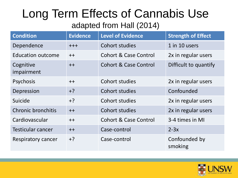### Long Term Effects of Cannabis Use adapted from Hall (2014)

| <b>Condition</b>          | <b>Evidence</b> | <b>Level of Evidence</b>         | <b>Strength of Effect</b> |
|---------------------------|-----------------|----------------------------------|---------------------------|
| Dependence                | $++++$          | Cohort studies                   | 1 in 10 users             |
| <b>Education outcome</b>  | $++$            | <b>Cohort &amp; Case Control</b> | 2x in regular users       |
| Cognitive<br>impairment   | $++$            | Cohort & Case Control            | Difficult to quantify     |
| Psychosis                 | $++$            | Cohort studies                   | 2x in regular users       |
| Depression                | $+?$            | Cohort studies                   | Confounded                |
| Suicide                   | $+?$            | Cohort studies                   | 2x in regular users       |
| <b>Chronic bronchitis</b> | $++$            | Cohort studies                   | 2x in regular users       |
| Cardiovascular            | $++$            | <b>Cohort &amp; Case Control</b> | 3-4 times in MI           |
| <b>Testicular cancer</b>  | $++$            | Case-control                     | $2-3x$                    |
| Respiratory cancer        | $+?$            | Case-control                     | Confounded by<br>smoking  |

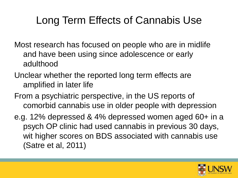## Long Term Effects of Cannabis Use

- Most research has focused on people who are in midlife and have been using since adolescence or early adulthood
- Unclear whether the reported long term effects are amplified in later life
- From a psychiatric perspective, in the US reports of comorbid cannabis use in older people with depression
- e.g. 12% depressed & 4% depressed women aged 60+ in a psych OP clinic had used cannabis in previous 30 days, wit higher scores on BDS associated with cannabis use (Satre et al, 2011)

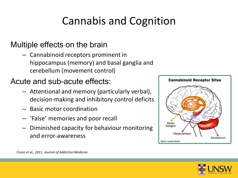## Cannabis and Cognition

#### Multiple effects on the brain

– Cannabinoid receptors prominent in hippocampus (memory) and basal ganglia and cerebellum (movement control)

#### Acute and sub-acute effects:

- Attentional and memory (particularly verbal), decision-making and inhibitory control deficits
- Basic motor coordination
- 'False' memories and poor recall
- Diminished capacity for behaviour monitoring and error-awareness





*Crean et al., 2011, Journal of Addiction Medicine*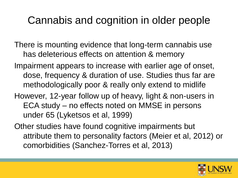### Cannabis and cognition in older people

- There is mounting evidence that long-term cannabis use has deleterious effects on attention & memory
- Impairment appears to increase with earlier age of onset, dose, frequency & duration of use. Studies thus far are methodologically poor & really only extend to midlife
- However, 12-year follow up of heavy, light & non-users in ECA study – no effects noted on MMSE in persons under 65 (Lyketsos et al, 1999)
- Other studies have found cognitive impairments but attribute them to personality factors (Meier et al, 2012) or comorbidities (Sanchez-Torres et al, 2013)

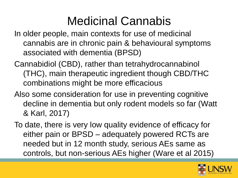## Medicinal Cannabis

- In older people, main contexts for use of medicinal cannabis are in chronic pain & behavioural symptoms associated with dementia (BPSD)
- Cannabidiol (CBD), rather than tetrahydrocannabinol (THC), main therapeutic ingredient though CBD/THC combinations might be more efficacious
- Also some consideration for use in preventing cognitive decline in dementia but only rodent models so far (Watt & Karl, 2017)
- To date, there is very low quality evidence of efficacy for either pain or BPSD – adequately powered RCTs are needed but in 12 month study, serious AEs same as controls, but non-serious AEs higher (Ware et al 2015)

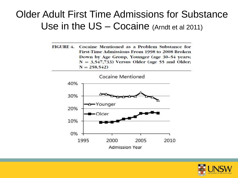#### Older Adult First Time Admissions for Substance Use in the US – Cocaine (Arndt et al 2011)

FIGURE 4. Cocaine Mentioned as a Problem Substance for First-Time Admissions From 1998 to 2008 Broken Down by Age Group, Younger (age 30-54 years;  $N = 3,547,733$ ) Versus Older (age 55 and Older;  $N = 258,542$ 



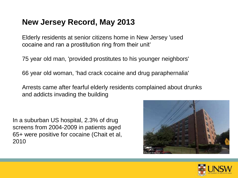#### **New Jersey Record, May 2013**

Elderly residents at senior citizens home in New Jersey 'used cocaine and ran a prostitution ring from their unit'

75 year old man, 'provided prostitutes to his younger neighbors'

66 year old woman, 'had crack cocaine and drug paraphernalia'

Arrests came after fearful elderly residents complained about drunks and addicts invading the building

In a suburban US hospital, 2.3% of drug screens from 2004-2009 in patients aged 65+ were positive for cocaine (Chait et al, 2010



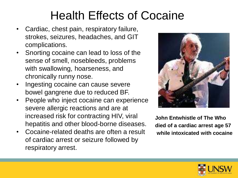## Health Effects of Cocaine

- Cardiac, chest pain, respiratory failure, strokes, seizures, headaches, and GIT complications.
- Snorting cocaine can lead to loss of the sense of smell, nosebleeds, problems with swallowing, hoarseness, and chronically runny nose.
- Ingesting cocaine can cause severe bowel gangrene due to reduced BF.
- People who inject cocaine can experience severe allergic reactions and are at increased risk for contracting HIV, viral hepatitis and other blood-borne diseases.
- Cocaine-related deaths are often a result of cardiac arrest or seizure followed by respiratory arrest.



**John Entwhistle of The Who died of a cardiac arrest age 57 while intoxicated with cocaine** 

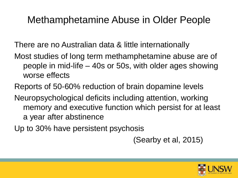#### Methamphetamine Abuse in Older People

There are no Australian data & little internationally

Most studies of long term methamphetamine abuse are of people in mid-life – 40s or 50s, with older ages showing worse effects

Reports of 50-60% reduction of brain dopamine levels

Neuropsychological deficits including attention, working memory and executive function which persist for at least a year after abstinence

Up to 30% have persistent psychosis

(Searby et al, 2015)

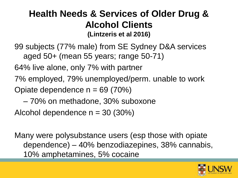#### **Health Needs & Services of Older Drug & Alcohol Clients (Lintzeris et al 2016)**

99 subjects (77% male) from SE Sydney D&A services aged 50+ (mean 55 years; range 50-71)

64% live alone, only 7% with partner

7% employed, 79% unemployed/perm. unable to work Opiate dependence  $n = 69 (70%)$ 

– 70% on methadone, 30% suboxone

Alcohol dependence  $n = 30$  (30%)

Many were polysubstance users (esp those with opiate dependence) – 40% benzodiazepines, 38% cannabis, 10% amphetamines, 5% cocaine

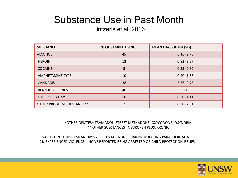### Substance Use in Past Month

#### Lintzeris et al, 2016

| <b>SUBSTANCE</b>          | % OF SAMPLE USING | <b>MEAN DAYS OF USE(SD)</b> |
|---------------------------|-------------------|-----------------------------|
| <b>ALCOHOL</b>            | 45                | 6.16(9.73)                  |
| <b>HEROIN</b>             | 13                | 0.82(3.27)                  |
| <b>COCAINE</b>            | 5                 | 0.33(2.82)                  |
| AMPHETAMINE TYPE          | 10                | 0.40(1.68)                  |
| <b>CANNABIS</b>           | 38                | 5.76(9.75)                  |
| <b>BENZODIAZEPINES</b>    | 40                | 6.55(10.93)                 |
| <b>OTHER OPIATES*</b>     | 10                | 0.30(1.11)                  |
| OTHER PROBLEM SUBSTANCE** | $\overline{2}$    | 0.30(2.81)                  |

•OTHER OPIATES= TRAMADOL, STREET METHADONE, OXYCODONE, OXYNORM \*\* OTHER SUBSTANCES= NEUROFEN PLUS, KRONIC

18% STILL INJECTING (MEAN DAYS 7.0; SD 8.4) – NONE SHARING INJECTING PARAPHERNALIA 2% EXPERIENCED VIOLENCE – NONE REPORTED BEING ARRESTED OR CHILD PROTECTION ISSUES

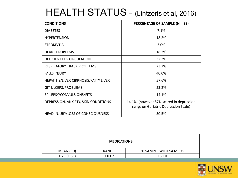### HEALTH STATUS – (Lintzeris et al, 2016)

| <b>CONDITIONS</b>                     | <b>PERCENTAGE OF SAMPLE (N = 99)</b>                                            |
|---------------------------------------|---------------------------------------------------------------------------------|
| <b>DIABETES</b>                       | 7.1%                                                                            |
| <b>HYPERTENSION</b>                   | 18.2%                                                                           |
| STROKE/TIA                            | 3.0%                                                                            |
| <b>HEART PROBLEMS</b>                 | 18.2%                                                                           |
| DEFICIENT LEG CIRCULATION             | 32.3%                                                                           |
| <b>RESPIRATORY TRACK PROBLEMS</b>     | 23.2%                                                                           |
| <b>FALLS INJURY</b>                   | 40.0%                                                                           |
| HEPATITIS/LIVER CIRRHOSIS/FATTY LIVER | 57.6%                                                                           |
| <b>GIT ULCERS/PROBLEMS</b>            | 23.2%                                                                           |
| EPILEPSY/CONVULSIONS/FITS             | 14.1%                                                                           |
| DEPRESSION, ANXIETY, SKIN CONDITIONS  | 14.1% (however 87% scored in depression<br>range on Geriatric Depression Scale) |
| HEAD INJURY/LOSS OF CONSCIOUSNESS     | 50.5%                                                                           |

| <b>MEDICATIONS</b> |        |                       |  |  |  |  |
|--------------------|--------|-----------------------|--|--|--|--|
| MEAN (SD)          | RANGE  | % SAMPLE WITH >4 MEDS |  |  |  |  |
| 1.73(1.55)         | 0 TO 7 | 15.1%                 |  |  |  |  |

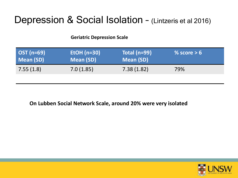#### Depression & Social Isolation – (Lintzeris et al 2016)

#### **Geriatric Depression Scale**

| $\overline{OST}$ (n=69) | EtOH $(n=30)$ | Total ( $n=99$ ) | % score $> 6$ |
|-------------------------|---------------|------------------|---------------|
| Mean (SD)               | Mean (SD)     | <b>Mean (SD)</b> |               |
| 7.55(1.8)               | 7.0(1.85)     | 7.38(1.82)       | 79%           |

**On Lubben Social Network Scale, around 20% were very isolated**

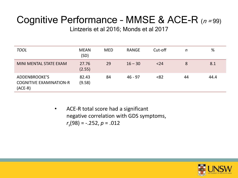### Cognitive Performance - MMSE & ACE-R  $(n=99)$

Lintzeris et al 2016; Monds et al 2017

| <b>TOOL</b>                                                  | <b>MEAN</b><br>(SD) | <b>MED</b> | <b>RANGE</b> | Cut-off | n  | %    |
|--------------------------------------------------------------|---------------------|------------|--------------|---------|----|------|
| MINI MENTAL STATE EXAM                                       | 27.76<br>(2.55)     | 29         | $16 - 30$    | < 24    | 8  | 8.1  |
| ADDENBROOKE'S<br><b>COGNITIVE EXAMINATION-R</b><br>$(ACE-R)$ | 82.43<br>(9.58)     | 84         | $46 - 97$    | < 82    | 44 | 44.4 |

• ACE-R total score had a significant negative correlation with GDS symptoms, *rs* (98) = -.252, *p* = .012

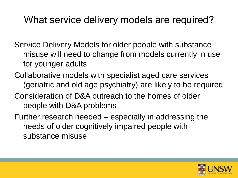#### What service delivery models are required?

- Service Delivery Models for older people with substance misuse will need to change from models currently in use for younger adults
- Collaborative models with specialist aged care services (geriatric and old age psychiatry) are likely to be required
- Consideration of D&A outreach to the homes of older people with D&A problems
- Further research needed especially in addressing the needs of older cognitively impaired people with substance misuse